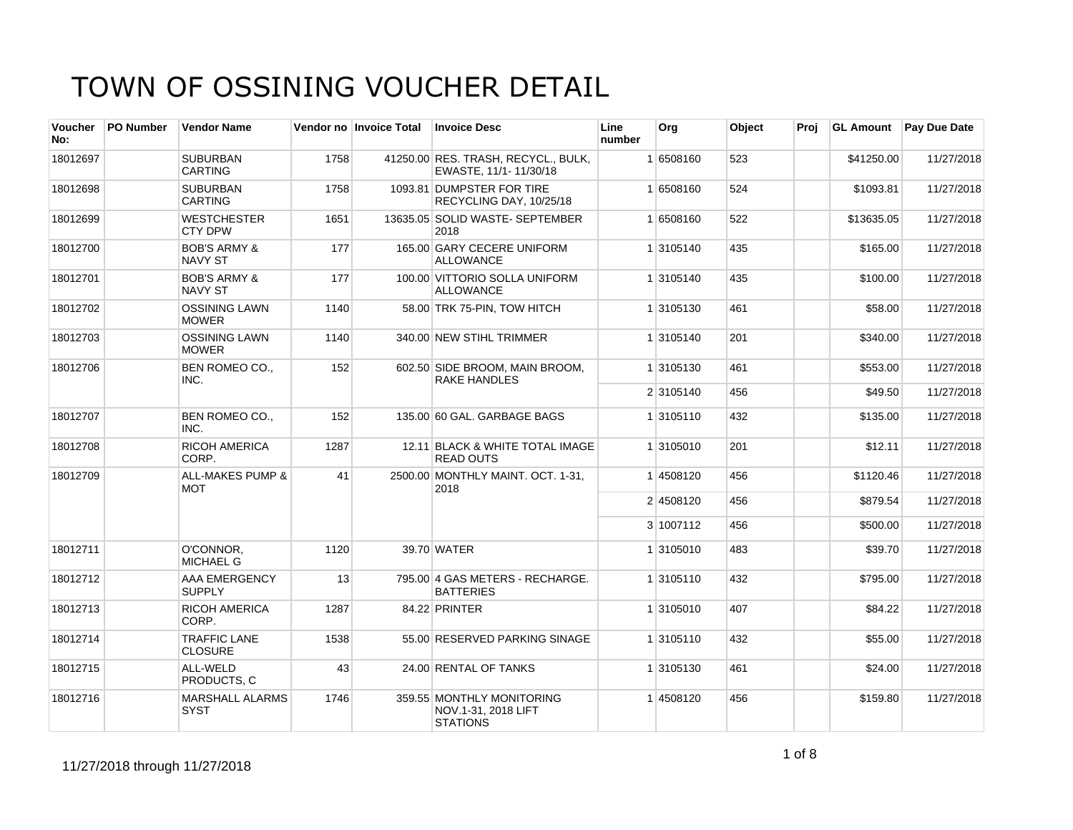| Voucher<br>No: | <b>PO Number</b> | <b>Vendor Name</b>                        |      | Vendor no Invoice Total | <b>Invoice Desc</b>                                                 | Line<br>number | Org       | Object | Proj |            | <b>GL Amount</b> Pay Due Date |
|----------------|------------------|-------------------------------------------|------|-------------------------|---------------------------------------------------------------------|----------------|-----------|--------|------|------------|-------------------------------|
| 18012697       |                  | <b>SUBURBAN</b><br><b>CARTING</b>         | 1758 |                         | 41250.00 RES. TRASH, RECYCL., BULK,<br>EWASTE, 11/1-11/30/18        |                | 1 6508160 | 523    |      | \$41250.00 | 11/27/2018                    |
| 18012698       |                  | <b>SUBURBAN</b><br><b>CARTING</b>         | 1758 |                         | 1093.81 DUMPSTER FOR TIRE<br>RECYCLING DAY, 10/25/18                |                | 1 6508160 | 524    |      | \$1093.81  | 11/27/2018                    |
| 18012699       |                  | <b>WESTCHESTER</b><br>CTY DPW             | 1651 |                         | 13635.05 SOLID WASTE- SEPTEMBER<br>2018                             |                | 1 6508160 | 522    |      | \$13635.05 | 11/27/2018                    |
| 18012700       |                  | <b>BOB'S ARMY &amp;</b><br><b>NAVY ST</b> | 177  |                         | 165.00 GARY CECERE UNIFORM<br><b>ALLOWANCE</b>                      |                | 1 3105140 | 435    |      | \$165.00   | 11/27/2018                    |
| 18012701       |                  | <b>BOB'S ARMY &amp;</b><br><b>NAVY ST</b> | 177  |                         | 100.00 VITTORIO SOLLA UNIFORM<br><b>ALLOWANCE</b>                   |                | 1 3105140 | 435    |      | \$100.00   | 11/27/2018                    |
| 18012702       |                  | <b>OSSINING LAWN</b><br><b>MOWER</b>      | 1140 |                         | 58.00 TRK 75-PIN, TOW HITCH                                         |                | 1 3105130 | 461    |      | \$58.00    | 11/27/2018                    |
| 18012703       |                  | <b>OSSINING LAWN</b><br><b>MOWER</b>      | 1140 |                         | 340.00 NEW STIHL TRIMMER                                            |                | 1 3105140 | 201    |      | \$340.00   | 11/27/2018                    |
| 18012706       |                  | <b>BEN ROMEO CO.,</b><br>INC.             | 152  |                         | 602.50 SIDE BROOM, MAIN BROOM,<br><b>RAKE HANDLES</b>               |                | 1 3105130 | 461    |      | \$553.00   | 11/27/2018                    |
|                |                  |                                           |      |                         |                                                                     |                | 2 3105140 | 456    |      | \$49.50    | 11/27/2018                    |
| 18012707       |                  | <b>BEN ROMEO CO.,</b><br>INC.             | 152  |                         | 135.00 60 GAL. GARBAGE BAGS                                         |                | 1 3105110 | 432    |      | \$135.00   | 11/27/2018                    |
| 18012708       |                  | RICOH AMERICA<br>CORP.                    | 1287 |                         | 12.11 BLACK & WHITE TOTAL IMAGE<br><b>READ OUTS</b>                 |                | 1 3105010 | 201    |      | \$12.11    | 11/27/2018                    |
| 18012709       |                  | <b>ALL-MAKES PUMP &amp;</b><br><b>MOT</b> | 41   |                         | 2500.00 MONTHLY MAINT. OCT. 1-31,<br>2018                           |                | 14508120  | 456    |      | \$1120.46  | 11/27/2018                    |
|                |                  |                                           |      |                         |                                                                     |                | 2 4508120 | 456    |      | \$879.54   | 11/27/2018                    |
|                |                  |                                           |      |                         |                                                                     |                | 3 1007112 | 456    |      | \$500.00   | 11/27/2018                    |
| 18012711       |                  | O'CONNOR.<br>MICHAEL G                    | 1120 |                         | 39.70 WATER                                                         |                | 1 3105010 | 483    |      | \$39.70    | 11/27/2018                    |
| 18012712       |                  | AAA EMERGENCY<br><b>SUPPLY</b>            | 13   |                         | 795.00 4 GAS METERS - RECHARGE.<br><b>BATTERIES</b>                 |                | 1 3105110 | 432    |      | \$795.00   | 11/27/2018                    |
| 18012713       |                  | <b>RICOH AMERICA</b><br>CORP.             | 1287 |                         | 84.22 PRINTER                                                       |                | 1 3105010 | 407    |      | \$84.22    | 11/27/2018                    |
| 18012714       |                  | <b>TRAFFIC LANE</b><br><b>CLOSURE</b>     | 1538 |                         | 55.00 RESERVED PARKING SINAGE                                       |                | 1 3105110 | 432    |      | \$55.00    | 11/27/2018                    |
| 18012715       |                  | ALL-WELD<br>PRODUCTS, C                   | 43   |                         | 24.00 RENTAL OF TANKS                                               |                | 1 3105130 | 461    |      | \$24.00    | 11/27/2018                    |
| 18012716       |                  | <b>MARSHALL ALARMS</b><br><b>SYST</b>     | 1746 |                         | 359.55 MONTHLY MONITORING<br>NOV.1-31, 2018 LIFT<br><b>STATIONS</b> |                | 14508120  | 456    |      | \$159.80   | 11/27/2018                    |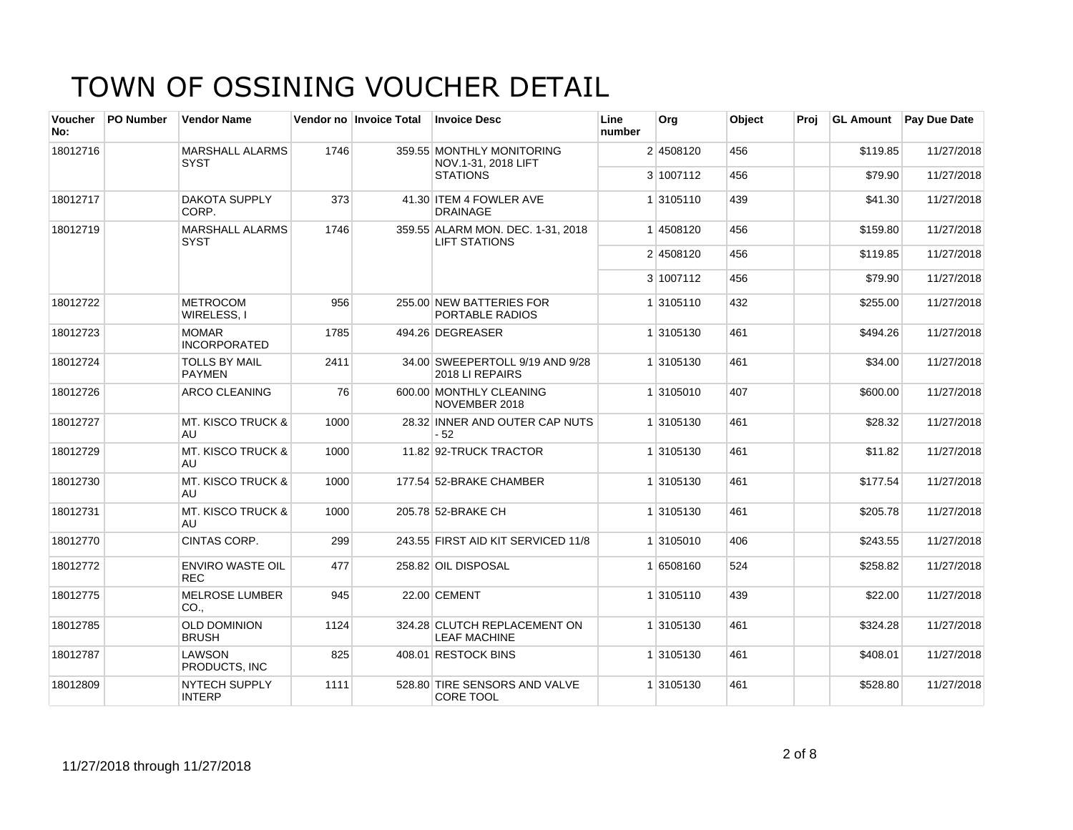| <b>Voucher</b><br>No: | <b>PO Number</b> | <b>Vendor Name</b>                    |      | Vendor no Invoice Total | <b>Invoice Desc</b>                                       | Line<br>number | Org       | Object | Proi | <b>GL Amount</b> | <b>Pay Due Date</b> |
|-----------------------|------------------|---------------------------------------|------|-------------------------|-----------------------------------------------------------|----------------|-----------|--------|------|------------------|---------------------|
| 18012716              |                  | <b>MARSHALL ALARMS</b><br><b>SYST</b> | 1746 |                         | 359.55 MONTHLY MONITORING<br>NOV.1-31, 2018 LIFT          |                | 2 4508120 | 456    |      | \$119.85         | 11/27/2018          |
|                       |                  |                                       |      |                         | <b>STATIONS</b>                                           |                | 3 1007112 | 456    |      | \$79.90          | 11/27/2018          |
| 18012717              |                  | <b>DAKOTA SUPPLY</b><br>CORP.         | 373  |                         | 41.30 ITEM 4 FOWLER AVE<br><b>DRAINAGE</b>                |                | 1 3105110 | 439    |      | \$41.30          | 11/27/2018          |
| 18012719              |                  | <b>MARSHALL ALARMS</b><br><b>SYST</b> | 1746 |                         | 359.55 ALARM MON. DEC. 1-31, 2018<br><b>LIFT STATIONS</b> |                | 1 4508120 | 456    |      | \$159.80         | 11/27/2018          |
|                       |                  |                                       |      |                         |                                                           |                | 2 4508120 | 456    |      | \$119.85         | 11/27/2018          |
|                       |                  |                                       |      |                         |                                                           |                | 3 1007112 | 456    |      | \$79.90          | 11/27/2018          |
| 18012722              |                  | <b>METROCOM</b><br>WIRELESS, I        | 956  |                         | 255.00 NEW BATTERIES FOR<br>PORTABLE RADIOS               |                | 1 3105110 | 432    |      | \$255.00         | 11/27/2018          |
| 18012723              |                  | <b>MOMAR</b><br><b>INCORPORATED</b>   | 1785 |                         | 494.26 DEGREASER                                          |                | 1 3105130 | 461    |      | \$494.26         | 11/27/2018          |
| 18012724              |                  | <b>TOLLS BY MAIL</b><br><b>PAYMEN</b> | 2411 |                         | 34.00 SWEEPERTOLL 9/19 AND 9/28<br>2018 LI REPAIRS        |                | 1 3105130 | 461    |      | \$34.00          | 11/27/2018          |
| 18012726              |                  | <b>ARCO CLEANING</b>                  | 76   |                         | 600.00 MONTHLY CLEANING<br>NOVEMBER 2018                  |                | 1 3105010 | 407    |      | \$600.00         | 11/27/2018          |
| 18012727              |                  | <b>MT. KISCO TRUCK &amp;</b><br>AU.   | 1000 |                         | 28.32 INNER AND OUTER CAP NUTS<br>- 52                    |                | 1 3105130 | 461    |      | \$28.32          | 11/27/2018          |
| 18012729              |                  | <b>MT. KISCO TRUCK &amp;</b><br>AU    | 1000 |                         | 11.82 92-TRUCK TRACTOR                                    |                | 1 3105130 | 461    |      | \$11.82          | 11/27/2018          |
| 18012730              |                  | <b>MT. KISCO TRUCK &amp;</b><br>AU    | 1000 |                         | 177.54 52-BRAKE CHAMBER                                   |                | 1 3105130 | 461    |      | \$177.54         | 11/27/2018          |
| 18012731              |                  | <b>MT. KISCO TRUCK &amp;</b><br>AU    | 1000 |                         | 205.78 52-BRAKE CH                                        |                | 1 3105130 | 461    |      | \$205.78         | 11/27/2018          |
| 18012770              |                  | CINTAS CORP.                          | 299  |                         | 243.55 FIRST AID KIT SERVICED 11/8                        |                | 1 3105010 | 406    |      | \$243.55         | 11/27/2018          |
| 18012772              |                  | <b>ENVIRO WASTE OIL</b><br><b>REC</b> | 477  |                         | 258.82 OIL DISPOSAL                                       |                | 1 6508160 | 524    |      | \$258.82         | 11/27/2018          |
| 18012775              |                  | <b>MELROSE LUMBER</b><br>CO.          | 945  |                         | 22.00 CEMENT                                              |                | 1 3105110 | 439    |      | \$22.00          | 11/27/2018          |
| 18012785              |                  | <b>OLD DOMINION</b><br><b>BRUSH</b>   | 1124 |                         | 324.28 CLUTCH REPLACEMENT ON<br><b>LEAF MACHINE</b>       |                | 1 3105130 | 461    |      | \$324.28         | 11/27/2018          |
| 18012787              |                  | <b>LAWSON</b><br>PRODUCTS, INC        | 825  |                         | 408.01 RESTOCK BINS                                       |                | 1 3105130 | 461    |      | \$408.01         | 11/27/2018          |
| 18012809              |                  | <b>NYTECH SUPPLY</b><br><b>INTERP</b> | 1111 |                         | 528.80 TIRE SENSORS AND VALVE<br><b>CORE TOOL</b>         |                | 1 3105130 | 461    |      | \$528.80         | 11/27/2018          |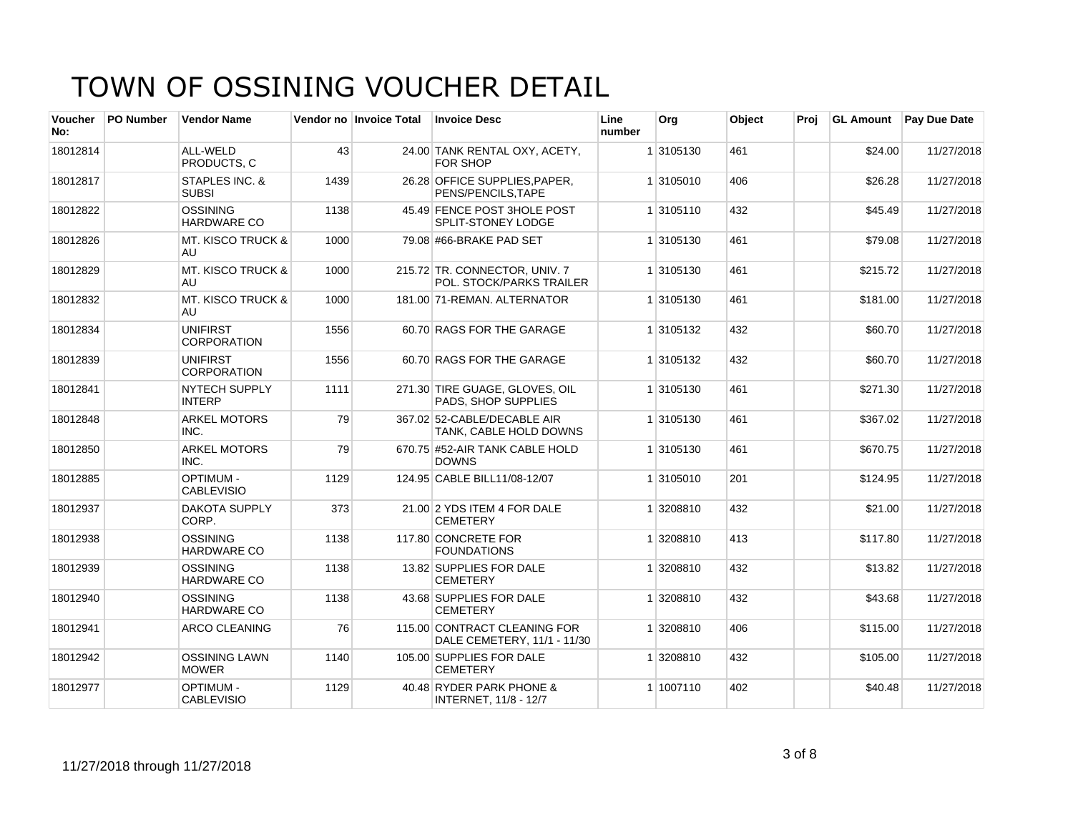| <b>Voucher</b><br>No: | <b>PO Number</b> | <b>Vendor Name</b>                        |      | Vendor no Invoice Total | <b>Invoice Desc</b>                                         | Line<br>number | Org       | Object | Proi | <b>GL Amount</b> | <b>Pay Due Date</b> |
|-----------------------|------------------|-------------------------------------------|------|-------------------------|-------------------------------------------------------------|----------------|-----------|--------|------|------------------|---------------------|
| 18012814              |                  | ALL-WELD<br>PRODUCTS. C                   | 43   |                         | 24.00 TANK RENTAL OXY, ACETY,<br><b>FOR SHOP</b>            |                | 1 3105130 | 461    |      | \$24.00          | 11/27/2018          |
| 18012817              |                  | <b>STAPLES INC. &amp;</b><br><b>SUBSI</b> | 1439 |                         | 26.28 OFFICE SUPPLIES, PAPER,<br>PENS/PENCILS.TAPE          |                | 1 3105010 | 406    |      | \$26.28          | 11/27/2018          |
| 18012822              |                  | OSSINING<br><b>HARDWARE CO</b>            | 1138 |                         | 45.49 FENCE POST 3HOLE POST<br><b>SPLIT-STONEY LODGE</b>    |                | 1 3105110 | 432    |      | \$45.49          | 11/27/2018          |
| 18012826              |                  | <b>MT. KISCO TRUCK &amp;</b><br>AU        | 1000 |                         | 79.08 #66-BRAKE PAD SET                                     |                | 1 3105130 | 461    |      | \$79.08          | 11/27/2018          |
| 18012829              |                  | <b>MT. KISCO TRUCK &amp;</b><br>AU        | 1000 |                         | 215.72 TR. CONNECTOR, UNIV. 7<br>POL. STOCK/PARKS TRAILER   |                | 1 3105130 | 461    |      | \$215.72         | 11/27/2018          |
| 18012832              |                  | <b>MT. KISCO TRUCK &amp;</b><br>AU        | 1000 |                         | 181.00 71-REMAN. ALTERNATOR                                 |                | 1 3105130 | 461    |      | \$181.00         | 11/27/2018          |
| 18012834              |                  | <b>UNIFIRST</b><br><b>CORPORATION</b>     | 1556 |                         | 60.70 RAGS FOR THE GARAGE                                   |                | 1 3105132 | 432    |      | \$60.70          | 11/27/2018          |
| 18012839              |                  | <b>UNIFIRST</b><br><b>CORPORATION</b>     | 1556 |                         | 60.70 RAGS FOR THE GARAGE                                   |                | 1 3105132 | 432    |      | \$60.70          | 11/27/2018          |
| 18012841              |                  | <b>NYTECH SUPPLY</b><br><b>INTERP</b>     | 1111 |                         | 271.30 TIRE GUAGE, GLOVES, OIL<br>PADS. SHOP SUPPLIES       |                | 1 3105130 | 461    |      | \$271.30         | 11/27/2018          |
| 18012848              |                  | <b>ARKEL MOTORS</b><br>INC.               | 79   |                         | 367.02 52-CABLE/DECABLE AIR<br>TANK, CABLE HOLD DOWNS       |                | 1 3105130 | 461    |      | \$367.02         | 11/27/2018          |
| 18012850              |                  | <b>ARKEL MOTORS</b><br>INC.               | 79   |                         | 670.75 #52-AIR TANK CABLE HOLD<br><b>DOWNS</b>              |                | 1 3105130 | 461    |      | \$670.75         | 11/27/2018          |
| 18012885              |                  | OPTIMUM -<br><b>CABLEVISIO</b>            | 1129 |                         | 124.95 CABLE BILL11/08-12/07                                |                | 1 3105010 | 201    |      | \$124.95         | 11/27/2018          |
| 18012937              |                  | <b>DAKOTA SUPPLY</b><br>CORP.             | 373  |                         | 21.00 2 YDS ITEM 4 FOR DALE<br><b>CEMETERY</b>              |                | 1 3208810 | 432    |      | \$21.00          | 11/27/2018          |
| 18012938              |                  | <b>OSSINING</b><br>HARDWARE CO            | 1138 |                         | 117,80 CONCRETE FOR<br><b>FOUNDATIONS</b>                   |                | 1 3208810 | 413    |      | \$117.80         | 11/27/2018          |
| 18012939              |                  | <b>OSSINING</b><br>HARDWARE CO            | 1138 |                         | 13.82 SUPPLIES FOR DALE<br><b>CEMETERY</b>                  |                | 1 3208810 | 432    |      | \$13.82          | 11/27/2018          |
| 18012940              |                  | <b>OSSINING</b><br><b>HARDWARE CO</b>     | 1138 |                         | 43.68 SUPPLIES FOR DALE<br><b>CEMETERY</b>                  |                | 1 3208810 | 432    |      | \$43.68          | 11/27/2018          |
| 18012941              |                  | <b>ARCO CLEANING</b>                      | 76   |                         | 115.00 CONTRACT CLEANING FOR<br>DALE CEMETERY, 11/1 - 11/30 |                | 1 3208810 | 406    |      | \$115.00         | 11/27/2018          |
| 18012942              |                  | <b>OSSINING LAWN</b><br><b>MOWER</b>      | 1140 |                         | 105.00 SUPPLIES FOR DALE<br><b>CEMETERY</b>                 |                | 1 3208810 | 432    |      | \$105.00         | 11/27/2018          |
| 18012977              |                  | <b>OPTIMUM -</b><br><b>CABLEVISIO</b>     | 1129 |                         | 40.48 RYDER PARK PHONE &<br><b>INTERNET, 11/8 - 12/7</b>    |                | 1 1007110 | 402    |      | \$40.48          | 11/27/2018          |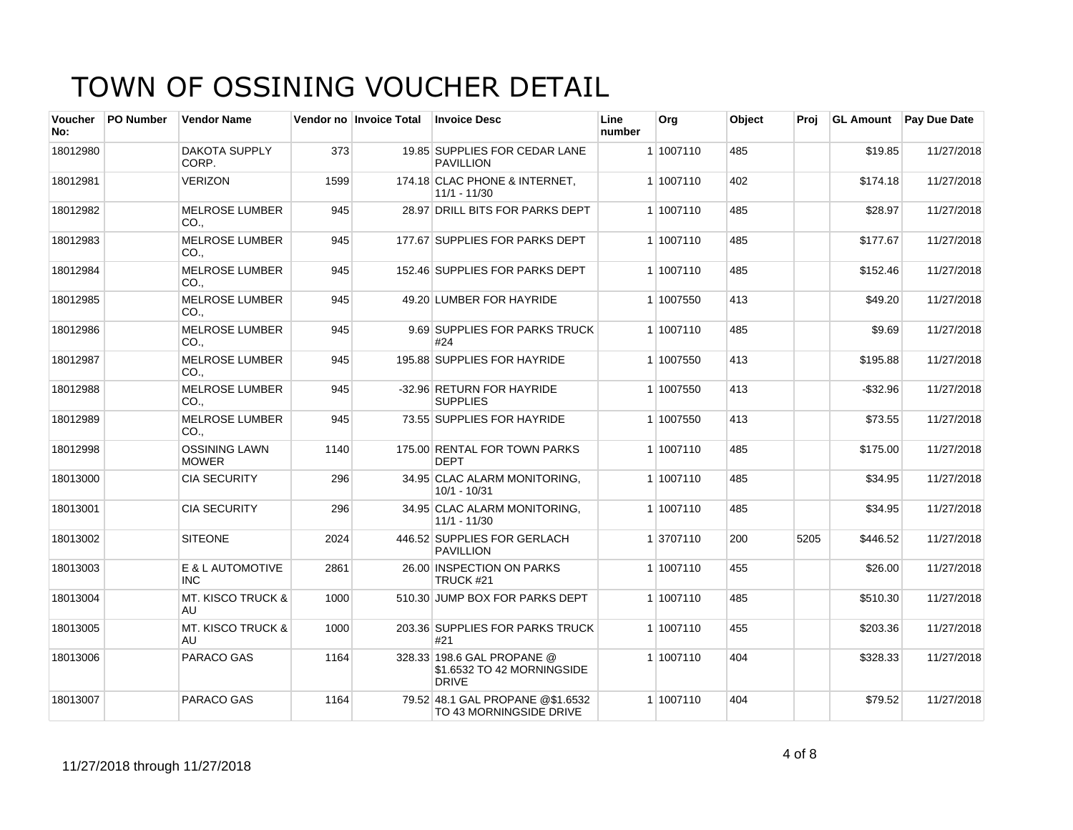| Voucher<br>No: | PO Number | <b>Vendor Name</b>                   |      | Vendor no Invoice Total | <b>Invoice Desc</b>                                                      | Line<br>number | Org       | Object | Proj | <b>GL Amount</b> | <b>Pay Due Date</b> |
|----------------|-----------|--------------------------------------|------|-------------------------|--------------------------------------------------------------------------|----------------|-----------|--------|------|------------------|---------------------|
| 18012980       |           | <b>DAKOTA SUPPLY</b><br>CORP.        | 373  |                         | 19.85 SUPPLIES FOR CEDAR LANE<br><b>PAVILLION</b>                        |                | 1 1007110 | 485    |      | \$19.85          | 11/27/2018          |
| 18012981       |           | <b>VERIZON</b>                       | 1599 |                         | 174.18 CLAC PHONE & INTERNET,<br>$11/1 - 11/30$                          |                | 1 1007110 | 402    |      | \$174.18         | 11/27/2018          |
| 18012982       |           | <b>MELROSE LUMBER</b><br>CO.,        | 945  |                         | 28.97 DRILL BITS FOR PARKS DEPT                                          |                | 1 1007110 | 485    |      | \$28.97          | 11/27/2018          |
| 18012983       |           | <b>MELROSE LUMBER</b><br>CO.         | 945  |                         | 177.67 SUPPLIES FOR PARKS DEPT                                           |                | 1 1007110 | 485    |      | \$177.67         | 11/27/2018          |
| 18012984       |           | <b>MELROSE LUMBER</b><br>CO.         | 945  |                         | 152.46 SUPPLIES FOR PARKS DEPT                                           |                | 1 1007110 | 485    |      | \$152.46         | 11/27/2018          |
| 18012985       |           | <b>MELROSE LUMBER</b><br>CO.,        | 945  |                         | 49.20 LUMBER FOR HAYRIDE                                                 |                | 1 1007550 | 413    |      | \$49.20          | 11/27/2018          |
| 18012986       |           | <b>MELROSE LUMBER</b><br>CO.,        | 945  |                         | 9.69 SUPPLIES FOR PARKS TRUCK<br>#24                                     |                | 1 1007110 | 485    |      | \$9.69           | 11/27/2018          |
| 18012987       |           | <b>MELROSE LUMBER</b><br>CO.,        | 945  |                         | 195.88 SUPPLIES FOR HAYRIDE                                              |                | 1 1007550 | 413    |      | \$195.88         | 11/27/2018          |
| 18012988       |           | <b>MELROSE LUMBER</b><br>CO.,        | 945  |                         | -32.96 RETURN FOR HAYRIDE<br><b>SUPPLIES</b>                             |                | 1 1007550 | 413    |      | $-$ \$32.96      | 11/27/2018          |
| 18012989       |           | <b>MELROSE LUMBER</b><br>CO.,        | 945  |                         | 73.55 SUPPLIES FOR HAYRIDE                                               |                | 1 1007550 | 413    |      | \$73.55          | 11/27/2018          |
| 18012998       |           | <b>OSSINING LAWN</b><br><b>MOWER</b> | 1140 |                         | 175.00 RENTAL FOR TOWN PARKS<br><b>DFPT</b>                              |                | 1 1007110 | 485    |      | \$175.00         | 11/27/2018          |
| 18013000       |           | <b>CIA SECURITY</b>                  | 296  |                         | 34.95 CLAC ALARM MONITORING.<br>$10/1 - 10/31$                           |                | 1 1007110 | 485    |      | \$34.95          | 11/27/2018          |
| 18013001       |           | <b>CIA SECURITY</b>                  | 296  |                         | 34.95 CLAC ALARM MONITORING,<br>$11/1 - 11/30$                           |                | 1 1007110 | 485    |      | \$34.95          | 11/27/2018          |
| 18013002       |           | <b>SITEONE</b>                       | 2024 |                         | 446.52 SUPPLIES FOR GERLACH<br><b>PAVILLION</b>                          |                | 1 3707110 | 200    | 5205 | \$446.52         | 11/27/2018          |
| 18013003       |           | E & L AUTOMOTIVE<br><b>INC</b>       | 2861 |                         | 26.00 INSPECTION ON PARKS<br>TRUCK #21                                   |                | 1 1007110 | 455    |      | \$26.00          | 11/27/2018          |
| 18013004       |           | <b>MT. KISCO TRUCK &amp;</b><br>AU   | 1000 |                         | 510.30 JUMP BOX FOR PARKS DEPT                                           |                | 1 1007110 | 485    |      | \$510.30         | 11/27/2018          |
| 18013005       |           | <b>MT. KISCO TRUCK &amp;</b><br>AU   | 1000 |                         | 203.36 SUPPLIES FOR PARKS TRUCK<br>#21                                   |                | 1 1007110 | 455    |      | \$203.36         | 11/27/2018          |
| 18013006       |           | PARACO GAS                           | 1164 |                         | 328.33 198.6 GAL PROPANE @<br>\$1.6532 TO 42 MORNINGSIDE<br><b>DRIVE</b> |                | 1 1007110 | 404    |      | \$328.33         | 11/27/2018          |
| 18013007       |           | PARACO GAS                           | 1164 |                         | 79.52 48.1 GAL PROPANE @\$1.6532<br>TO 43 MORNINGSIDE DRIVE              |                | 1 1007110 | 404    |      | \$79.52          | 11/27/2018          |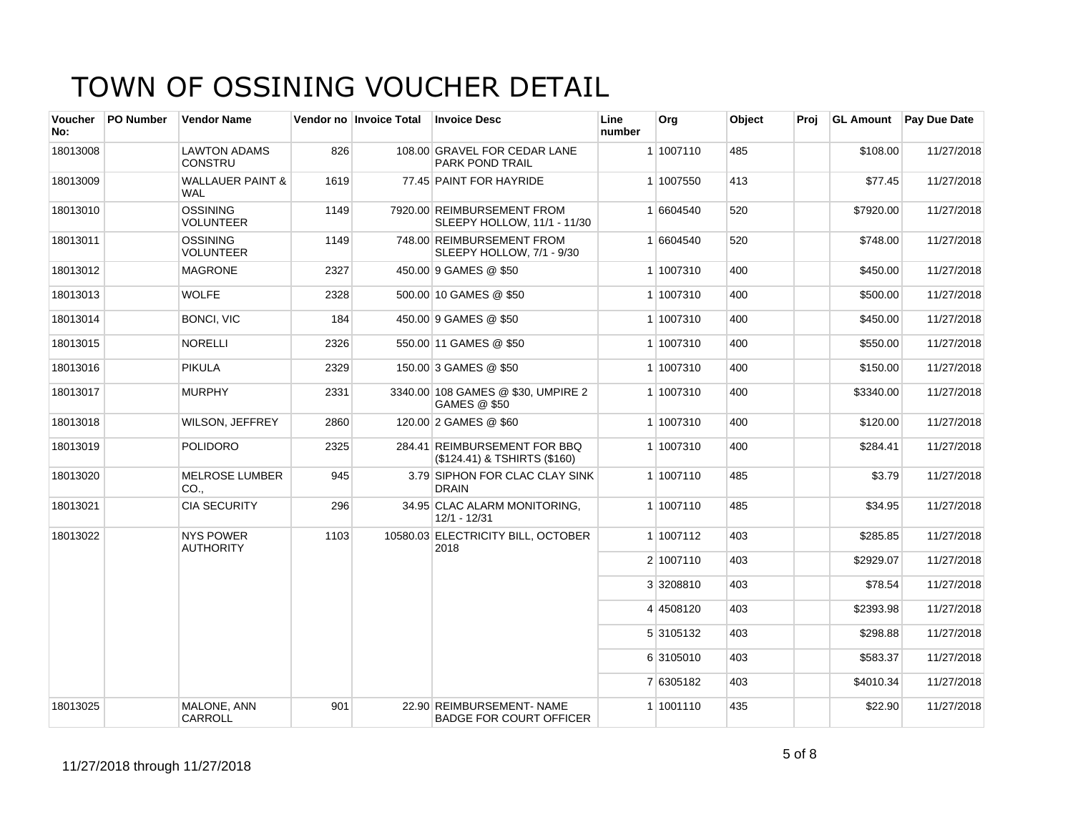| <b>Voucher</b><br>No: | <b>PO Number</b> | <b>Vendor Name</b>                        |      | Vendor no Invoice Total | <b>Invoice Desc</b>                                          | Line<br>number | Org       | Object | Proj | <b>GL Amount</b> | <b>Pay Due Date</b> |
|-----------------------|------------------|-------------------------------------------|------|-------------------------|--------------------------------------------------------------|----------------|-----------|--------|------|------------------|---------------------|
| 18013008              |                  | <b>LAWTON ADAMS</b><br><b>CONSTRU</b>     | 826  |                         | 108.00 GRAVEL FOR CEDAR LANE<br>PARK POND TRAIL              |                | 1 1007110 | 485    |      | \$108.00         | 11/27/2018          |
| 18013009              |                  | <b>WALLAUER PAINT &amp;</b><br><b>WAL</b> | 1619 |                         | 77.45 PAINT FOR HAYRIDE                                      |                | 1 1007550 | 413    |      | \$77.45          | 11/27/2018          |
| 18013010              |                  | <b>OSSINING</b><br><b>VOLUNTEER</b>       | 1149 |                         | 7920.00 REIMBURSEMENT FROM<br>SLEEPY HOLLOW, 11/1 - 11/30    |                | 1 6604540 | 520    |      | \$7920.00        | 11/27/2018          |
| 18013011              |                  | <b>OSSINING</b><br><b>VOLUNTEER</b>       | 1149 |                         | 748.00 REIMBURSEMENT FROM<br>SLEEPY HOLLOW, 7/1 - 9/30       |                | 1 6604540 | 520    |      | \$748.00         | 11/27/2018          |
| 18013012              |                  | <b>MAGRONE</b>                            | 2327 |                         | 450.00 9 GAMES @ \$50                                        |                | 1 1007310 | 400    |      | \$450.00         | 11/27/2018          |
| 18013013              |                  | <b>WOLFE</b>                              | 2328 |                         | 500.00 10 GAMES @ \$50                                       |                | 1 1007310 | 400    |      | \$500.00         | 11/27/2018          |
| 18013014              |                  | <b>BONCI, VIC</b>                         | 184  |                         | 450.00 9 GAMES @ \$50                                        |                | 1 1007310 | 400    |      | \$450.00         | 11/27/2018          |
| 18013015              |                  | <b>NORELLI</b>                            | 2326 |                         | 550.00 11 GAMES @ \$50                                       |                | 1 1007310 | 400    |      | \$550.00         | 11/27/2018          |
| 18013016              |                  | <b>PIKULA</b>                             | 2329 |                         | 150.00 3 GAMES @ \$50                                        |                | 1 1007310 | 400    |      | \$150.00         | 11/27/2018          |
| 18013017              |                  | <b>MURPHY</b>                             | 2331 |                         | 3340.00 108 GAMES @ \$30, UMPIRE 2<br>GAMES @ \$50           |                | 1 1007310 | 400    |      | \$3340.00        | 11/27/2018          |
| 18013018              |                  | <b>WILSON, JEFFREY</b>                    | 2860 |                         | 120.00 2 GAMES @ \$60                                        |                | 1 1007310 | 400    |      | \$120.00         | 11/27/2018          |
| 18013019              |                  | <b>POLIDORO</b>                           | 2325 |                         | 284.41 REIMBURSEMENT FOR BBQ<br>(\$124.41) & TSHIRTS (\$160) |                | 1 1007310 | 400    |      | \$284.41         | 11/27/2018          |
| 18013020              |                  | <b>MELROSE LUMBER</b><br>CO.,             | 945  |                         | 3.79 SIPHON FOR CLAC CLAY SINK<br><b>DRAIN</b>               |                | 1 1007110 | 485    |      | \$3.79           | 11/27/2018          |
| 18013021              |                  | <b>CIA SECURITY</b>                       | 296  |                         | 34.95 CLAC ALARM MONITORING,<br>$12/1 - 12/31$               |                | 1 1007110 | 485    |      | \$34.95          | 11/27/2018          |
| 18013022              |                  | <b>NYS POWER</b><br><b>AUTHORITY</b>      | 1103 |                         | 10580.03 ELECTRICITY BILL, OCTOBER<br>2018                   |                | 1 1007112 | 403    |      | \$285.85         | 11/27/2018          |
|                       |                  |                                           |      |                         |                                                              |                | 2 1007110 | 403    |      | \$2929.07        | 11/27/2018          |
|                       |                  |                                           |      |                         |                                                              |                | 3 3208810 | 403    |      | \$78.54          | 11/27/2018          |
|                       |                  |                                           |      |                         |                                                              |                | 4 4508120 | 403    |      | \$2393.98        | 11/27/2018          |
|                       |                  |                                           |      |                         |                                                              |                | 5 3105132 | 403    |      | \$298.88         | 11/27/2018          |
|                       |                  |                                           |      |                         |                                                              |                | 6 3105010 | 403    |      | \$583.37         | 11/27/2018          |
|                       |                  |                                           |      |                         |                                                              |                | 7 6305182 | 403    |      | \$4010.34        | 11/27/2018          |
| 18013025              |                  | MALONE, ANN<br><b>CARROLL</b>             | 901  |                         | 22.90 REIMBURSEMENT- NAME<br><b>BADGE FOR COURT OFFICER</b>  |                | 1 1001110 | 435    |      | \$22.90          | 11/27/2018          |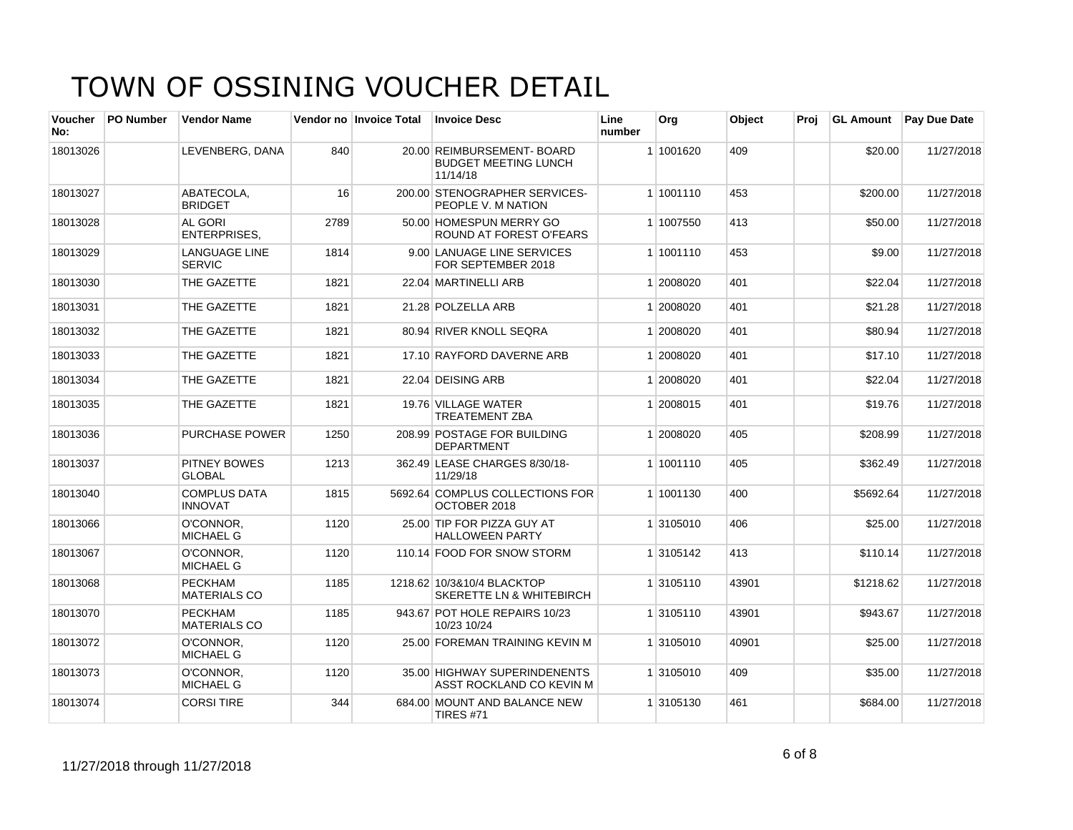| Voucher<br>No: | <b>PO Number</b> | <b>Vendor Name</b>                    |      | Vendor no Invoice Total | <b>Invoice Desc</b>                                                   | Line<br>number | Org       | <b>Object</b> | Proj |           | <b>GL Amount</b> Pay Due Date |
|----------------|------------------|---------------------------------------|------|-------------------------|-----------------------------------------------------------------------|----------------|-----------|---------------|------|-----------|-------------------------------|
| 18013026       |                  | LEVENBERG, DANA                       | 840  |                         | 20.00 REIMBURSEMENT- BOARD<br><b>BUDGET MEETING LUNCH</b><br>11/14/18 |                | 1 1001620 | 409           |      | \$20.00   | 11/27/2018                    |
| 18013027       |                  | ABATECOLA,<br><b>BRIDGET</b>          | 16   |                         | 200.00 STENOGRAPHER SERVICES-<br>PEOPLE V. M NATION                   |                | 1 1001110 | 453           |      | \$200.00  | 11/27/2018                    |
| 18013028       |                  | AL GORI<br><b>ENTERPRISES.</b>        | 2789 |                         | 50.00 HOMESPUN MERRY GO<br>ROUND AT FOREST O'FEARS                    |                | 1 1007550 | 413           |      | \$50.00   | 11/27/2018                    |
| 18013029       |                  | LANGUAGE LINE<br><b>SERVIC</b>        | 1814 |                         | 9.00 LANUAGE LINE SERVICES<br>FOR SEPTEMBER 2018                      |                | 1 1001110 | 453           |      | \$9.00    | 11/27/2018                    |
| 18013030       |                  | THE GAZETTE                           | 1821 |                         | 22.04 MARTINELLI ARB                                                  |                | 1 2008020 | 401           |      | \$22.04   | 11/27/2018                    |
| 18013031       |                  | THE GAZETTE                           | 1821 |                         | 21.28 POLZELLA ARB                                                    |                | 1 2008020 | 401           |      | \$21.28   | 11/27/2018                    |
| 18013032       |                  | THE GAZETTE                           | 1821 |                         | 80.94 RIVER KNOLL SEQRA                                               |                | 1 2008020 | 401           |      | \$80.94   | 11/27/2018                    |
| 18013033       |                  | THE GAZETTE                           | 1821 |                         | 17.10 RAYFORD DAVERNE ARB                                             |                | 1 2008020 | 401           |      | \$17.10   | 11/27/2018                    |
| 18013034       |                  | THE GAZETTE                           | 1821 |                         | 22.04 DEISING ARB                                                     |                | 1 2008020 | 401           |      | \$22.04   | 11/27/2018                    |
| 18013035       |                  | THE GAZETTE                           | 1821 |                         | 19.76 VILLAGE WATER<br>TREATEMENT ZBA                                 |                | 1 2008015 | 401           |      | \$19.76   | 11/27/2018                    |
| 18013036       |                  | <b>PURCHASE POWER</b>                 | 1250 |                         | 208.99 POSTAGE FOR BUILDING<br><b>DEPARTMENT</b>                      |                | 1 2008020 | 405           |      | \$208.99  | 11/27/2018                    |
| 18013037       |                  | PITNEY BOWES<br><b>GLOBAL</b>         | 1213 |                         | 362.49 LEASE CHARGES 8/30/18-<br>11/29/18                             |                | 1 1001110 | 405           |      | \$362.49  | 11/27/2018                    |
| 18013040       |                  | <b>COMPLUS DATA</b><br><b>INNOVAT</b> | 1815 |                         | 5692.64 COMPLUS COLLECTIONS FOR<br>OCTOBER 2018                       |                | 1 1001130 | 400           |      | \$5692.64 | 11/27/2018                    |
| 18013066       |                  | O'CONNOR,<br><b>MICHAEL G</b>         | 1120 |                         | 25.00 TIP FOR PIZZA GUY AT<br><b>HALLOWEEN PARTY</b>                  |                | 1 3105010 | 406           |      | \$25.00   | 11/27/2018                    |
| 18013067       |                  | O'CONNOR.<br><b>MICHAEL G</b>         | 1120 |                         | 110.14 FOOD FOR SNOW STORM                                            |                | 1 3105142 | 413           |      | \$110.14  | 11/27/2018                    |
| 18013068       |                  | <b>PECKHAM</b><br><b>MATERIALS CO</b> | 1185 |                         | 1218.62 10/3&10/4 BLACKTOP<br>SKERETTE LN & WHITEBIRCH                |                | 1 3105110 | 43901         |      | \$1218.62 | 11/27/2018                    |
| 18013070       |                  | <b>PECKHAM</b><br><b>MATERIALS CO</b> | 1185 |                         | 943.67 POT HOLE REPAIRS 10/23<br>10/23 10/24                          |                | 1 3105110 | 43901         |      | \$943.67  | 11/27/2018                    |
| 18013072       |                  | O'CONNOR.<br><b>MICHAEL G</b>         | 1120 |                         | 25.00 FOREMAN TRAINING KEVIN M                                        |                | 1 3105010 | 40901         |      | \$25.00   | 11/27/2018                    |
| 18013073       |                  | O'CONNOR.<br><b>MICHAEL G</b>         | 1120 |                         | 35.00 HIGHWAY SUPERINDENENTS<br>ASST ROCKLAND CO KEVIN M              |                | 1 3105010 | 409           |      | \$35.00   | 11/27/2018                    |
| 18013074       |                  | <b>CORSI TIRE</b>                     | 344  |                         | 684.00 MOUNT AND BALANCE NEW<br><b>TIRES #71</b>                      |                | 1 3105130 | 461           |      | \$684.00  | 11/27/2018                    |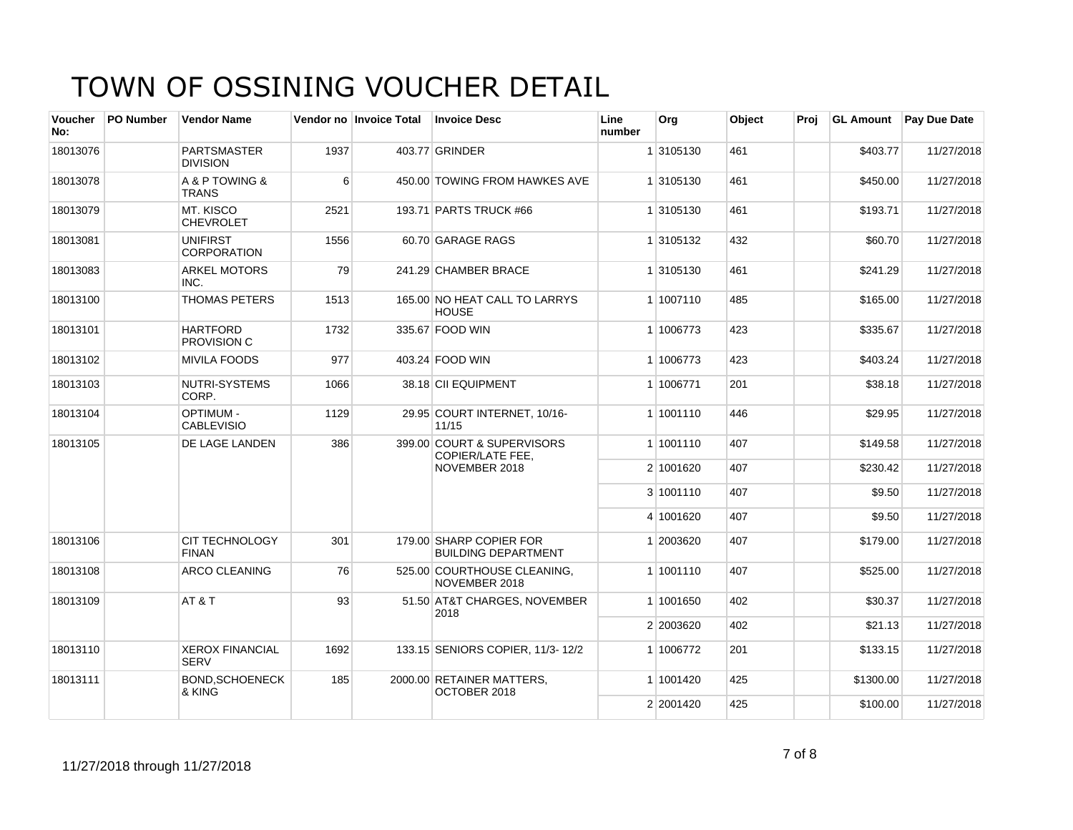| <b>Voucher</b><br>No: | <b>PO Number</b> | <b>Vendor Name</b>                    |      | Vendor no Invoice Total | <b>Invoice Desc</b>                                   | Line<br>number | Org       | Object | Proj | <b>GL Amount</b> | <b>Pay Due Date</b> |
|-----------------------|------------------|---------------------------------------|------|-------------------------|-------------------------------------------------------|----------------|-----------|--------|------|------------------|---------------------|
| 18013076              |                  | <b>PARTSMASTER</b><br><b>DIVISION</b> | 1937 |                         | 403.77 GRINDER                                        |                | 1 3105130 | 461    |      | \$403.77         | 11/27/2018          |
| 18013078              |                  | A & P TOWING &<br><b>TRANS</b>        | 6    |                         | 450.00 TOWING FROM HAWKES AVE                         |                | 1 3105130 | 461    |      | \$450.00         | 11/27/2018          |
| 18013079              |                  | MT. KISCO<br><b>CHEVROLET</b>         | 2521 |                         | 193.71 PARTS TRUCK #66                                |                | 1 3105130 | 461    |      | \$193.71         | 11/27/2018          |
| 18013081              |                  | <b>UNIFIRST</b><br><b>CORPORATION</b> | 1556 |                         | 60.70 GARAGE RAGS                                     |                | 1 3105132 | 432    |      | \$60.70          | 11/27/2018          |
| 18013083              |                  | <b>ARKEL MOTORS</b><br>INC.           | 79   |                         | 241.29 CHAMBER BRACE                                  |                | 1 3105130 | 461    |      | \$241.29         | 11/27/2018          |
| 18013100              |                  | <b>THOMAS PETERS</b>                  | 1513 |                         | 165.00 NO HEAT CALL TO LARRYS<br><b>HOUSE</b>         |                | 1 1007110 | 485    |      | \$165.00         | 11/27/2018          |
| 18013101              |                  | <b>HARTFORD</b><br>PROVISION C        | 1732 |                         | 335.67 FOOD WIN                                       |                | 1 1006773 | 423    |      | \$335.67         | 11/27/2018          |
| 18013102              |                  | <b>MIVILA FOODS</b>                   | 977  |                         | 403.24 FOOD WIN                                       |                | 1 1006773 | 423    |      | \$403.24         | 11/27/2018          |
| 18013103              |                  | NUTRI-SYSTEMS<br>CORP.                | 1066 |                         | 38.18 CII EQUIPMENT                                   |                | 1 1006771 | 201    |      | \$38.18          | 11/27/2018          |
| 18013104              |                  | <b>OPTIMUM -</b><br><b>CABLEVISIO</b> | 1129 |                         | 29.95 COURT INTERNET, 10/16-<br>11/15                 |                | 1 1001110 | 446    |      | \$29.95          | 11/27/2018          |
| 18013105              |                  | DE LAGE LANDEN                        | 386  |                         | 399.00 COURT & SUPERVISORS<br>COPIER/LATE FEE.        |                | 1 1001110 | 407    |      | \$149.58         | 11/27/2018          |
|                       |                  |                                       |      |                         | NOVEMBER 2018                                         |                | 2 1001620 | 407    |      | \$230.42         | 11/27/2018          |
|                       |                  |                                       |      |                         |                                                       |                | 3 1001110 | 407    |      | \$9.50           | 11/27/2018          |
|                       |                  |                                       |      |                         |                                                       |                | 4 1001620 | 407    |      | \$9.50           | 11/27/2018          |
| 18013106              |                  | <b>CIT TECHNOLOGY</b><br><b>FINAN</b> | 301  |                         | 179.00 SHARP COPIER FOR<br><b>BUILDING DEPARTMENT</b> |                | 1 2003620 | 407    |      | \$179.00         | 11/27/2018          |
| 18013108              |                  | ARCO CLEANING                         | 76   |                         | 525.00 COURTHOUSE CLEANING.<br>NOVEMBER 2018          |                | 1 1001110 | 407    |      | \$525.00         | 11/27/2018          |
| 18013109              |                  | AT&T                                  | 93   |                         | 51.50 AT&T CHARGES, NOVEMBER<br>2018                  |                | 1 1001650 | 402    |      | \$30.37          | 11/27/2018          |
|                       |                  |                                       |      |                         |                                                       |                | 2 2003620 | 402    |      | \$21.13          | 11/27/2018          |
| 18013110              |                  | <b>XEROX FINANCIAL</b><br><b>SERV</b> | 1692 |                         | 133.15 SENIORS COPIER, 11/3-12/2                      |                | 1 1006772 | 201    |      | \$133.15         | 11/27/2018          |
| 18013111              |                  | <b>BOND, SCHOENECK</b><br>& KING      | 185  |                         | 2000.00 RETAINER MATTERS.<br>OCTOBER 2018             |                | 1 1001420 | 425    |      | \$1300.00        | 11/27/2018          |
|                       |                  |                                       |      |                         |                                                       |                | 2 2001420 | 425    |      | \$100.00         | 11/27/2018          |